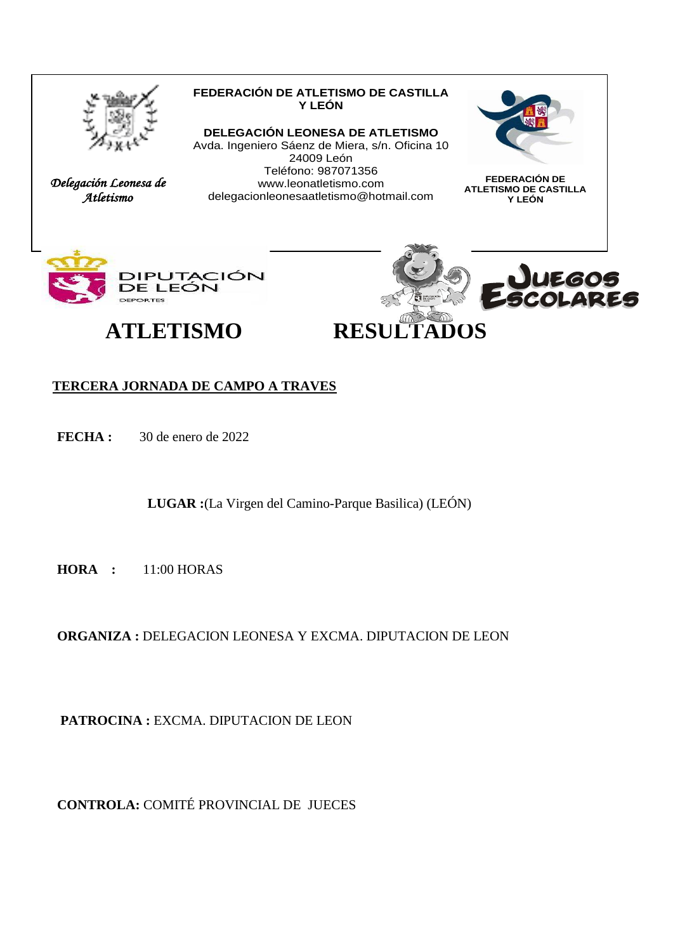

*Delegación Leonesa de Atletismo* 

#### **FEDERACIÓN DE ATLETISMO DE CASTILLA Y LEÓN DELEGACIÓN LEONESA DE ATLETISMO**

Avda. Ingeniero Sáenz de Miera, s/n. Oficina 10 24009 León Teléfono: 987071356 www.leonatletismo.com delegacionleonesaatletismo@hotmail.com



**FEDERACIÓN DE ATLETISMO DE CASTILLA Y LEÓN**







#### **TERCERA JORNADA DE CAMPO A TRAVES**

**FECHA :** 30 de enero de 2022

**LUGAR :**(La Virgen del Camino-Parque Basilica) (LEÓN)

**HORA :** 11:00 HORAS

**ORGANIZA :** DELEGACION LEONESA Y EXCMA. DIPUTACION DE LEON

 **PATROCINA :** EXCMA. DIPUTACION DE LEON

**CONTROLA:** COMITÉ PROVINCIAL DE JUECES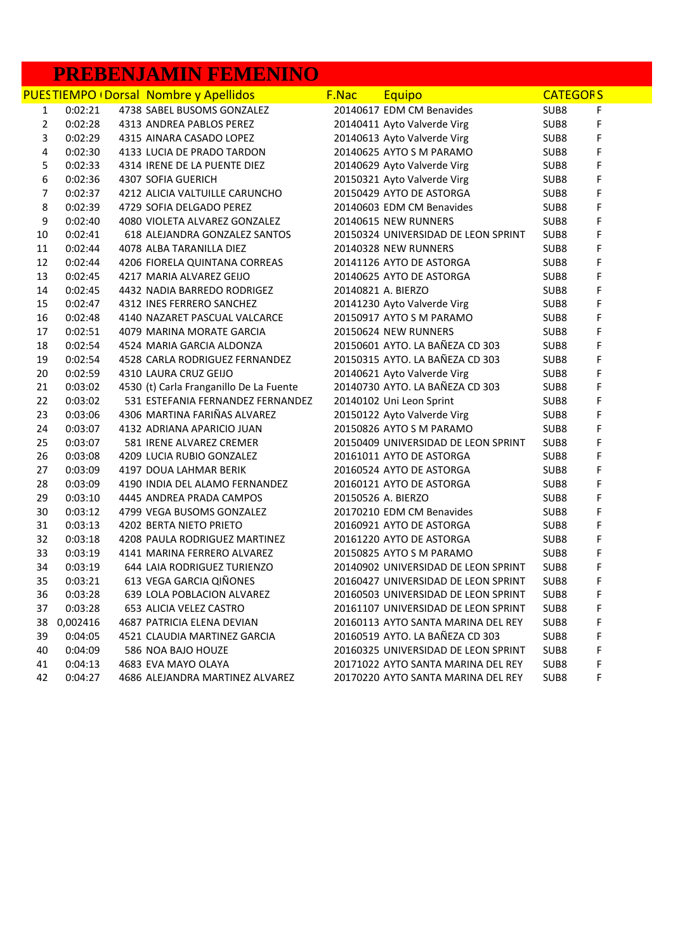#### **PREBENJAMIN FEMENINO**

|                |          | <b>PUESTIEMPO (Dorsal Nombre y Apellidos</b> | F.Nac | <b>Equipo</b>                       | <b>CATEGORS</b>  |   |
|----------------|----------|----------------------------------------------|-------|-------------------------------------|------------------|---|
| $\mathbf{1}$   | 0:02:21  | 4738 SABEL BUSOMS GONZALEZ                   |       | 20140617 EDM CM Benavides           | SUB8             | F |
| $\overline{2}$ | 0:02:28  | 4313 ANDREA PABLOS PEREZ                     |       | 20140411 Ayto Valverde Virg         | SUB8             | F |
| 3              | 0:02:29  | 4315 AINARA CASADO LOPEZ                     |       | 20140613 Ayto Valverde Virg         | SUB <sub>8</sub> | F |
| 4              | 0:02:30  | 4133 LUCIA DE PRADO TARDON                   |       | 20140625 AYTO S M PARAMO            | SUB <sub>8</sub> | F |
| 5              | 0:02:33  | 4314 IRENE DE LA PUENTE DIEZ                 |       | 20140629 Ayto Valverde Virg         | SUB <sub>8</sub> | F |
| 6              | 0:02:36  | 4307 SOFIA GUERICH                           |       | 20150321 Ayto Valverde Virg         | SUB <sub>8</sub> | F |
| $\overline{7}$ | 0:02:37  | 4212 ALICIA VALTUILLE CARUNCHO               |       | 20150429 AYTO DE ASTORGA            | SUB8             | F |
| 8              | 0:02:39  | 4729 SOFIA DELGADO PEREZ                     |       | 20140603 EDM CM Benavides           | SUB8             | F |
| 9              | 0:02:40  | 4080 VIOLETA ALVAREZ GONZALEZ                |       | 20140615 NEW RUNNERS                | SUB8             | F |
| 10             | 0:02:41  | 618 ALEJANDRA GONZALEZ SANTOS                |       | 20150324 UNIVERSIDAD DE LEON SPRINT | SUB <sub>8</sub> | F |
| 11             | 0:02:44  | 4078 ALBA TARANILLA DIEZ                     |       | 20140328 NEW RUNNERS                | SUB <sub>8</sub> | F |
| 12             | 0:02:44  | 4206 FIORELA QUINTANA CORREAS                |       | 20141126 AYTO DE ASTORGA            | SUB8             | F |
| 13             | 0:02:45  | 4217 MARIA ALVAREZ GEIJO                     |       | 20140625 AYTO DE ASTORGA            | SUB8             | F |
| 14             | 0:02:45  | 4432 NADIA BARREDO RODRIGEZ                  |       | 20140821 A. BIERZO                  | SUB <sub>8</sub> | F |
| 15             | 0:02:47  | 4312 INES FERRERO SANCHEZ                    |       | 20141230 Ayto Valverde Virg         | SUB <sub>8</sub> | F |
| 16             | 0:02:48  | 4140 NAZARET PASCUAL VALCARCE                |       | 20150917 AYTO S M PARAMO            | SUB <sub>8</sub> | F |
| 17             | 0:02:51  | 4079 MARINA MORATE GARCIA                    |       | 20150624 NEW RUNNERS                | SUB <sub>8</sub> | F |
| 18             | 0:02:54  | 4524 MARIA GARCIA ALDONZA                    |       | 20150601 AYTO. LA BAÑEZA CD 303     | SUB8             | F |
| 19             | 0:02:54  | 4528 CARLA RODRIGUEZ FERNANDEZ               |       | 20150315 AYTO. LA BAÑEZA CD 303     | SUB8             | F |
| 20             | 0:02:59  | 4310 LAURA CRUZ GEIJO                        |       | 20140621 Ayto Valverde Virg         | SUB8             | F |
| 21             | 0:03:02  | 4530 (t) Carla Franganillo De La Fuente      |       | 20140730 AYTO. LA BAÑEZA CD 303     | SUB8             | F |
| 22             | 0:03:02  | 531 ESTEFANIA FERNANDEZ FERNANDEZ            |       | 20140102 Uni Leon Sprint            | SUB8             | F |
| 23             | 0:03:06  | 4306 MARTINA FARIÑAS ALVAREZ                 |       | 20150122 Ayto Valverde Virg         | SUB <sub>8</sub> | F |
| 24             | 0:03:07  | 4132 ADRIANA APARICIO JUAN                   |       | 20150826 AYTO S M PARAMO            | SUB8             | F |
| 25             | 0:03:07  | 581 IRENE ALVAREZ CREMER                     |       | 20150409 UNIVERSIDAD DE LEON SPRINT | SUB8             | F |
| 26             | 0:03:08  | 4209 LUCIA RUBIO GONZALEZ                    |       | 20161011 AYTO DE ASTORGA            | SUB8             | F |
| 27             | 0:03:09  | 4197 DOUA LAHMAR BERIK                       |       | 20160524 AYTO DE ASTORGA            | SUB8             | F |
| 28             | 0:03:09  | 4190 INDIA DEL ALAMO FERNANDEZ               |       | 20160121 AYTO DE ASTORGA            | SUB8             | F |
| 29             | 0:03:10  | 4445 ANDREA PRADA CAMPOS                     |       | 20150526 A. BIERZO                  | SUB <sub>8</sub> | F |
| 30             | 0:03:12  | 4799 VEGA BUSOMS GONZALEZ                    |       | 20170210 EDM CM Benavides           | SUB8             | F |
| 31             | 0:03:13  | 4202 BERTA NIETO PRIETO                      |       | 20160921 AYTO DE ASTORGA            | SUB8             | F |
| 32             | 0:03:18  | 4208 PAULA RODRIGUEZ MARTINEZ                |       | 20161220 AYTO DE ASTORGA            | SUB8             | F |
| 33             | 0:03:19  | 4141 MARINA FERRERO ALVAREZ                  |       | 20150825 AYTO S M PARAMO            | SUB <sub>8</sub> | F |
| 34             | 0:03:19  | 644 LAIA RODRIGUEZ TURIENZO                  |       | 20140902 UNIVERSIDAD DE LEON SPRINT | SUB <sub>8</sub> | F |
| 35             | 0:03:21  | 613 VEGA GARCIA QIÑONES                      |       | 20160427 UNIVERSIDAD DE LEON SPRINT | SUB <sub>8</sub> | F |
| 36             | 0:03:28  | 639 LOLA POBLACION ALVAREZ                   |       | 20160503 UNIVERSIDAD DE LEON SPRINT | SUB8             | F |
| 37             | 0:03:28  | 653 ALICIA VELEZ CASTRO                      |       | 20161107 UNIVERSIDAD DE LEON SPRINT | SUB <sub>8</sub> | F |
| 38             | 0,002416 | 4687 PATRICIA ELENA DEVIAN                   |       | 20160113 AYTO SANTA MARINA DEL REY  | SUB <sub>8</sub> | F |
| 39             | 0:04:05  | 4521 CLAUDIA MARTINEZ GARCIA                 |       | 20160519 AYTO. LA BAÑEZA CD 303     | SUB <sub>8</sub> | F |
| 40             | 0:04:09  | 586 NOA BAJO HOUZE                           |       | 20160325 UNIVERSIDAD DE LEON SPRINT | SUB <sub>8</sub> | F |
| 41             | 0:04:13  | 4683 EVA MAYO OLAYA                          |       | 20171022 AYTO SANTA MARINA DEL REY  | SUB <sub>8</sub> | F |
| 42             | 0:04:27  | 4686 ALEJANDRA MARTINEZ ALVAREZ              |       | 20170220 AYTO SANTA MARINA DEL REY  | SUB <sub>8</sub> | F |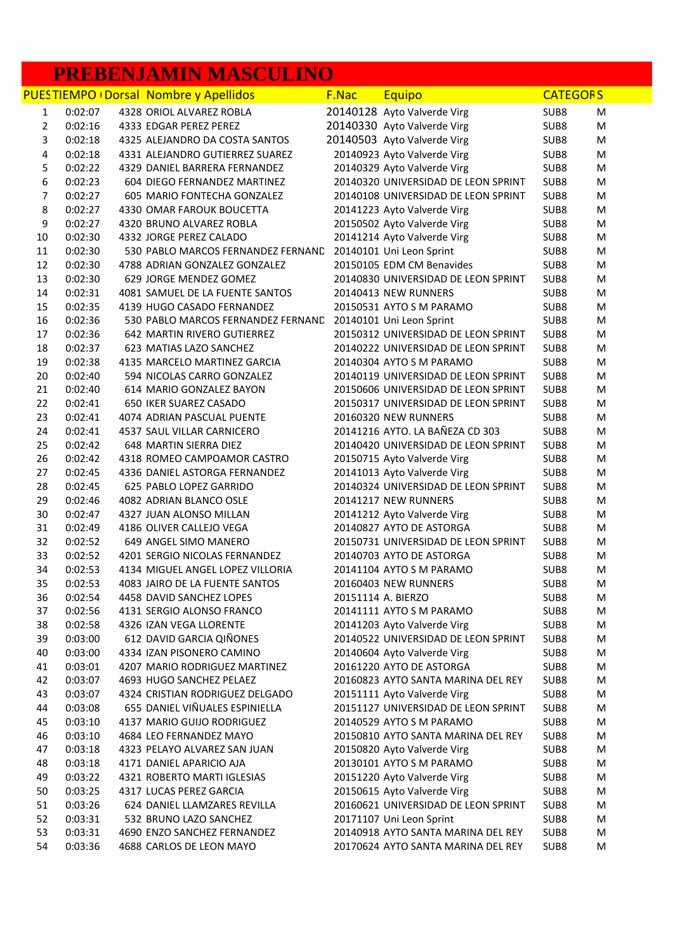### **PREBENJAMIN MASCULINO**

|                |         | <b>PUESTIEMPO (Dorsal Nombre y Apellidos</b> | F.Nac | Equipo                              | <b>CATEGORS</b>  |   |
|----------------|---------|----------------------------------------------|-------|-------------------------------------|------------------|---|
| 1              | 0:02:07 | 4328 ORIOL ALVAREZ ROBLA                     |       | 20140128 Ayto Valverde Virg         | SUB8             | м |
| $\overline{2}$ | 0:02:16 | 4333 EDGAR PEREZ PEREZ                       |       | 20140330 Ayto Valverde Virg         | SUB8             | M |
| 3              | 0:02:18 | 4325 ALEJANDRO DA COSTA SANTOS               |       | 20140503 Ayto Valverde Virg         | SUB8             | M |
| 4              | 0:02:18 | 4331 ALEJANDRO GUTIERREZ SUAREZ              |       | 20140923 Ayto Valverde Virg         | SUB8             | M |
| 5              | 0:02:22 | 4329 DANIEL BARRERA FERNANDEZ                |       | 20140329 Ayto Valverde Virg         | SUB8             | M |
| 6              | 0:02:23 | 604 DIEGO FERNANDEZ MARTINEZ                 |       | 20140320 UNIVERSIDAD DE LEON SPRINT | SUB8             | M |
| 7              | 0:02:27 | 605 MARIO FONTECHA GONZALEZ                  |       | 20140108 UNIVERSIDAD DE LEON SPRINT | SUB8             | M |
| 8              | 0:02:27 | 4330 OMAR FAROUK BOUCETTA                    |       | 20141223 Ayto Valverde Virg         | SUB8             | M |
| 9              | 0:02:27 | 4320 BRUNO ALVAREZ ROBLA                     |       | 20150502 Ayto Valverde Virg         | SUB8             | M |
| 10             | 0:02:30 | 4332 JORGE PEREZ CALADO                      |       | 20141214 Ayto Valverde Virg         | SUB8             | M |
| 11             | 0:02:30 | 530 PABLO MARCOS FERNANDEZ FERNAND           |       | 20140101 Uni Leon Sprint            | SUB8             | M |
| 12             | 0:02:30 | 4788 ADRIAN GONZALEZ GONZALEZ                |       | 20150105 EDM CM Benavides           | SUB8             | M |
| 13             | 0:02:30 | 629 JORGE MENDEZ GOMEZ                       |       | 20140830 UNIVERSIDAD DE LEON SPRINT | SUB8             | M |
| 14             | 0:02:31 | 4081 SAMUEL DE LA FUENTE SANTOS              |       | 20140413 NEW RUNNERS                | SUB8             | M |
| 15             | 0:02:35 | 4139 HUGO CASADO FERNANDEZ                   |       | 20150531 AYTO S M PARAMO            | SUB8             | M |
| 16             | 0:02:36 | 530 PABLO MARCOS FERNANDEZ FERNAND           |       | 20140101 Uni Leon Sprint            | SUB8             | M |
| 17             | 0:02:36 | 642 MARTIN RIVERO GUTIERREZ                  |       | 20150312 UNIVERSIDAD DE LEON SPRINT | SUB8             | M |
| 18             | 0:02:37 | 623 MATIAS LAZO SANCHEZ                      |       | 20140222 UNIVERSIDAD DE LEON SPRINT | SUB8             | M |
| 19             | 0:02:38 | 4135 MARCELO MARTINEZ GARCIA                 |       | 20140304 AYTO S M PARAMO            | SUB8             | M |
| 20             | 0:02:40 | 594 NICOLAS CARRO GONZALEZ                   |       | 20140119 UNIVERSIDAD DE LEON SPRINT | SUB8             | M |
| 21             | 0:02:40 | 614 MARIO GONZALEZ BAYON                     |       | 20150606 UNIVERSIDAD DE LEON SPRINT | SUB8             | M |
| 22             | 0:02:41 | <b>650 IKER SUAREZ CASADO</b>                |       | 20150317 UNIVERSIDAD DE LEON SPRINT | SUB8             | M |
| 23             | 0:02:41 | 4074 ADRIAN PASCUAL PUENTE                   |       | 20160320 NEW RUNNERS                | SUB8             | M |
| 24             | 0:02:41 | 4537 SAUL VILLAR CARNICERO                   |       | 20141216 AYTO. LA BAÑEZA CD 303     | SUB8             | M |
| 25             | 0:02:42 | 648 MARTIN SIERRA DIEZ                       |       | 20140420 UNIVERSIDAD DE LEON SPRINT | SUB8             | M |
| 26             | 0:02:42 | 4318 ROMEO CAMPOAMOR CASTRO                  |       | 20150715 Ayto Valverde Virg         | SUB8             | M |
| 27             | 0:02:45 | 4336 DANIEL ASTORGA FERNANDEZ                |       | 20141013 Ayto Valverde Virg         | SUB8             | M |
| 28             | 0:02:45 | 625 PABLO LOPEZ GARRIDO                      |       | 20140324 UNIVERSIDAD DE LEON SPRINT | SUB8             | M |
| 29             | 0:02:46 | 4082 ADRIAN BLANCO OSLE                      |       | 20141217 NEW RUNNERS                | SUB8             | M |
| 30             | 0:02:47 | 4327 JUAN ALONSO MILLAN                      |       | 20141212 Ayto Valverde Virg         | SUB8             | M |
| 31             | 0:02:49 | 4186 OLIVER CALLEJO VEGA                     |       | 20140827 AYTO DE ASTORGA            | SUB8             | M |
| 32             | 0:02:52 | 649 ANGEL SIMO MANERO                        |       | 20150731 UNIVERSIDAD DE LEON SPRINT | SUB8             | M |
| 33             | 0:02:52 | 4201 SERGIO NICOLAS FERNANDEZ                |       | 20140703 AYTO DE ASTORGA            | SUB8             | M |
| 34             | 0:02:53 | 4134 MIGUEL ANGEL LOPEZ VILLORIA             |       | 20141104 AYTO S M PARAMO            | SUB8             | M |
| 35             | 0:02:53 | 4083 JAIRO DE LA FUENTE SANTOS               |       | 20160403 NEW RUNNERS                | SUB8             | M |
| 36             | 0:02:54 | 4458 DAVID SANCHEZ LOPES                     |       | 20151114 A. BIERZO                  | SUB <sub>8</sub> | M |
| 37             | 0:02:56 | 4131 SERGIO ALONSO FRANCO                    |       | 20141111 AYTO S M PARAMO            | SUB8             | M |
| 38             | 0:02:58 | 4326 IZAN VEGA LLORENTE                      |       | 20141203 Ayto Valverde Virg         | SUB8             | M |
| 39             | 0:03:00 | 612 DAVID GARCIA QIÑONES                     |       | 20140522 UNIVERSIDAD DE LEON SPRINT | SUB8             | M |
| 40             | 0:03:00 | 4334 IZAN PISONERO CAMINO                    |       | 20140604 Ayto Valverde Virg         | SUB8             | M |
| 41             | 0:03:01 | 4207 MARIO RODRIGUEZ MARTINEZ                |       | 20161220 AYTO DE ASTORGA            | SUB8             | M |
| 42             | 0:03:07 | 4693 HUGO SANCHEZ PELAEZ                     |       | 20160823 AYTO SANTA MARINA DEL REY  | SUB <sub>8</sub> | M |
| 43             | 0:03:07 | 4324 CRISTIAN RODRIGUEZ DELGADO              |       | 20151111 Ayto Valverde Virg         | SUB8             | M |
| 44             | 0:03:08 | 655 DANIEL VIÑUALES ESPINIELLA               |       | 20151127 UNIVERSIDAD DE LEON SPRINT | SUB8             | M |
| 45             | 0:03:10 | 4137 MARIO GUIJO RODRIGUEZ                   |       | 20140529 AYTO S M PARAMO            | SUB8             | M |
| 46             | 0:03:10 | 4684 LEO FERNANDEZ MAYO                      |       | 20150810 AYTO SANTA MARINA DEL REY  | SUB8             | M |
| 47             | 0:03:18 | 4323 PELAYO ALVAREZ SAN JUAN                 |       | 20150820 Ayto Valverde Virg         | SUB8             | M |
| 48             | 0:03:18 | 4171 DANIEL APARICIO AJA                     |       | 20130101 AYTO S M PARAMO            | SUB8             | M |
| 49             | 0:03:22 | 4321 ROBERTO MARTI IGLESIAS                  |       | 20151220 Ayto Valverde Virg         | SUB8             | M |
| 50             | 0:03:25 | 4317 LUCAS PEREZ GARCIA                      |       | 20150615 Ayto Valverde Virg         | SUB8             | M |
| 51             | 0:03:26 | 624 DANIEL LLAMZARES REVILLA                 |       | 20160621 UNIVERSIDAD DE LEON SPRINT | SUB8             | M |
| 52             | 0:03:31 | 532 BRUNO LAZO SANCHEZ                       |       | 20171107 Uni Leon Sprint            | SUB <sub>8</sub> | M |
| 53             | 0:03:31 | 4690 ENZO SANCHEZ FERNANDEZ                  |       | 20140918 AYTO SANTA MARINA DEL REY  | SUB8             | м |
| 54             | 0:03:36 | 4688 CARLOS DE LEON MAYO                     |       | 20170624 AYTO SANTA MARINA DEL REY  | SUB8             | м |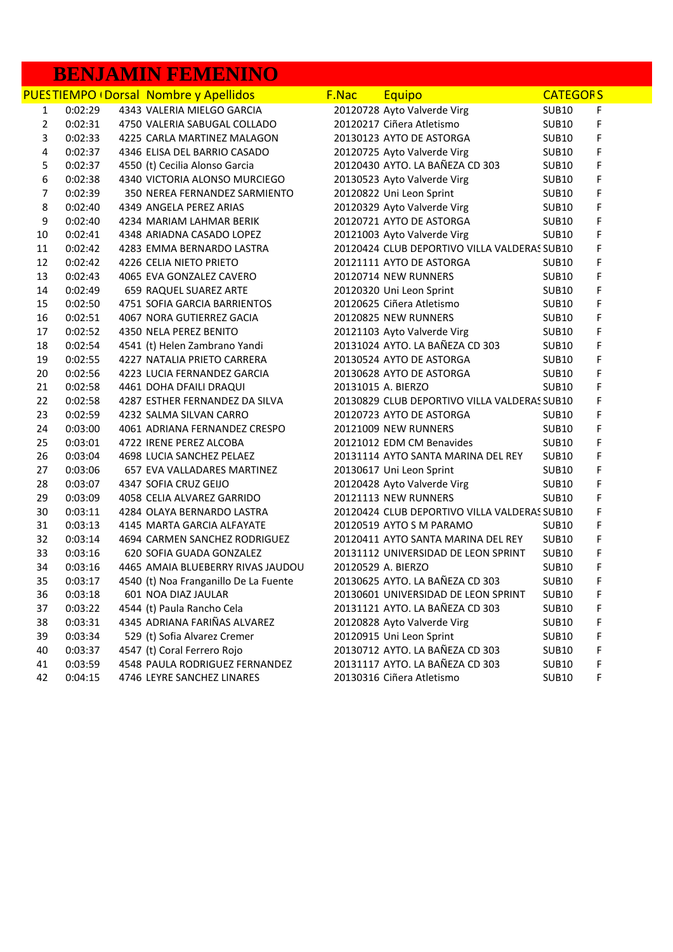# **BENJAMIN FEMENINO**

|                         |         | <b>PUESTIEMPO (Dorsal Nombre y Apellidos</b> | F.Nac | Equipo                                       | <b>CATEGORS</b>   |   |
|-------------------------|---------|----------------------------------------------|-------|----------------------------------------------|-------------------|---|
| $\mathbf{1}$            | 0:02:29 | 4343 VALERIA MIELGO GARCIA                   |       | 20120728 Ayto Valverde Virg                  | <b>SUB10</b>      | F |
| $\overline{2}$          | 0:02:31 | 4750 VALERIA SABUGAL COLLADO                 |       | 20120217 Ciñera Atletismo                    | <b>SUB10</b>      | F |
| 3                       | 0:02:33 | 4225 CARLA MARTINEZ MALAGON                  |       | 20130123 AYTO DE ASTORGA                     | <b>SUB10</b>      | F |
| $\overline{\mathbf{4}}$ | 0:02:37 | 4346 ELISA DEL BARRIO CASADO                 |       | 20120725 Ayto Valverde Virg                  | <b>SUB10</b>      | F |
| 5                       | 0:02:37 | 4550 (t) Cecilia Alonso Garcia               |       | 20120430 AYTO. LA BAÑEZA CD 303              | SUB <sub>10</sub> | F |
| 6                       | 0:02:38 | 4340 VICTORIA ALONSO MURCIEGO                |       | 20130523 Ayto Valverde Virg                  | SUB <sub>10</sub> | F |
| $\overline{7}$          | 0:02:39 | 350 NEREA FERNANDEZ SARMIENTO                |       | 20120822 Uni Leon Sprint                     | SUB <sub>10</sub> | F |
| 8                       | 0:02:40 | 4349 ANGELA PEREZ ARIAS                      |       | 20120329 Ayto Valverde Virg                  | SUB <sub>10</sub> | F |
| 9                       | 0:02:40 | 4234 MARIAM LAHMAR BERIK                     |       | 20120721 AYTO DE ASTORGA                     | SUB <sub>10</sub> | F |
| 10                      | 0:02:41 | 4348 ARIADNA CASADO LOPEZ                    |       | 20121003 Ayto Valverde Virg                  | <b>SUB10</b>      | F |
| 11                      | 0:02:42 | 4283 EMMA BERNARDO LASTRA                    |       | 20120424 CLUB DEPORTIVO VILLA VALDERAS SUB10 |                   | F |
| 12                      | 0:02:42 | 4226 CELIA NIETO PRIETO                      |       | 20121111 AYTO DE ASTORGA                     | <b>SUB10</b>      | F |
| 13                      | 0:02:43 | 4065 EVA GONZALEZ CAVERO                     |       | 20120714 NEW RUNNERS                         | <b>SUB10</b>      | F |
| 14                      | 0:02:49 | 659 RAQUEL SUAREZ ARTE                       |       | 20120320 Uni Leon Sprint                     | <b>SUB10</b>      | F |
| 15                      | 0:02:50 | 4751 SOFIA GARCIA BARRIENTOS                 |       | 20120625 Ciñera Atletismo                    | <b>SUB10</b>      | F |
| 16                      | 0:02:51 | 4067 NORA GUTIERREZ GACIA                    |       | 20120825 NEW RUNNERS                         | <b>SUB10</b>      | F |
| 17                      | 0:02:52 | 4350 NELA PEREZ BENITO                       |       | 20121103 Ayto Valverde Virg                  | SUB <sub>10</sub> | F |
| 18                      | 0:02:54 | 4541 (t) Helen Zambrano Yandi                |       | 20131024 AYTO. LA BAÑEZA CD 303              | SUB <sub>10</sub> | F |
| 19                      | 0:02:55 | 4227 NATALIA PRIETO CARRERA                  |       | 20130524 AYTO DE ASTORGA                     | <b>SUB10</b>      | F |
| 20                      | 0:02:56 | 4223 LUCIA FERNANDEZ GARCIA                  |       | 20130628 AYTO DE ASTORGA                     | <b>SUB10</b>      | F |
| 21                      | 0:02:58 | 4461 DOHA DFAILI DRAQUI                      |       | 20131015 A. BIERZO                           | <b>SUB10</b>      | F |
| 22                      | 0:02:58 | 4287 ESTHER FERNANDEZ DA SILVA               |       | 20130829 CLUB DEPORTIVO VILLA VALDERAS SUB10 |                   | F |
| 23                      | 0:02:59 | 4232 SALMA SILVAN CARRO                      |       | 20120723 AYTO DE ASTORGA                     | <b>SUB10</b>      | F |
| 24                      | 0:03:00 | 4061 ADRIANA FERNANDEZ CRESPO                |       | 20121009 NEW RUNNERS                         | <b>SUB10</b>      | F |
| 25                      | 0:03:01 | 4722 IRENE PEREZ ALCOBA                      |       | 20121012 EDM CM Benavides                    | SUB <sub>10</sub> | F |
| 26                      | 0:03:04 | 4698 LUCIA SANCHEZ PELAEZ                    |       | 20131114 AYTO SANTA MARINA DEL REY           | <b>SUB10</b>      | F |
| 27                      | 0:03:06 | 657 EVA VALLADARES MARTINEZ                  |       | 20130617 Uni Leon Sprint                     | SUB <sub>10</sub> | F |
| 28                      | 0:03:07 | 4347 SOFIA CRUZ GEIJO                        |       | 20120428 Ayto Valverde Virg                  | SUB <sub>10</sub> | F |
| 29                      | 0:03:09 | 4058 CELIA ALVAREZ GARRIDO                   |       | 20121113 NEW RUNNERS                         | SUB <sub>10</sub> | F |
| 30                      | 0:03:11 | 4284 OLAYA BERNARDO LASTRA                   |       | 20120424 CLUB DEPORTIVO VILLA VALDERAS SUB10 |                   | F |
| 31                      | 0:03:13 | 4145 MARTA GARCIA ALFAYATE                   |       | 20120519 AYTO S M PARAMO                     | <b>SUB10</b>      | F |
| 32                      | 0:03:14 | 4694 CARMEN SANCHEZ RODRIGUEZ                |       | 20120411 AYTO SANTA MARINA DEL REY           | SUB <sub>10</sub> | F |
| 33                      | 0:03:16 | 620 SOFIA GUADA GONZALEZ                     |       | 20131112 UNIVERSIDAD DE LEON SPRINT          | SUB <sub>10</sub> | F |
| 34                      | 0:03:16 | 4465 AMAIA BLUEBERRY RIVAS JAUDOU            |       | 20120529 A. BIERZO                           | <b>SUB10</b>      | F |
| 35                      | 0:03:17 | 4540 (t) Noa Franganillo De La Fuente        |       | 20130625 AYTO. LA BAÑEZA CD 303              | <b>SUB10</b>      | F |
| 36                      | 0:03:18 | 601 NOA DIAZ JAULAR                          |       | 20130601 UNIVERSIDAD DE LEON SPRINT          | SUB <sub>10</sub> | F |
| 37                      | 0:03:22 | 4544 (t) Paula Rancho Cela                   |       | 20131121 AYTO. LA BAÑEZA CD 303              | <b>SUB10</b>      | F |
| 38                      | 0:03:31 | 4345 ADRIANA FARIÑAS ALVAREZ                 |       | 20120828 Ayto Valverde Virg                  | <b>SUB10</b>      | F |
| 39                      | 0:03:34 | 529 (t) Sofia Alvarez Cremer                 |       | 20120915 Uni Leon Sprint                     | <b>SUB10</b>      | F |
| 40                      | 0:03:37 | 4547 (t) Coral Ferrero Rojo                  |       | 20130712 AYTO. LA BAÑEZA CD 303              | <b>SUB10</b>      | F |
| 41                      | 0:03:59 | 4548 PAULA RODRIGUEZ FERNANDEZ               |       | 20131117 AYTO. LA BAÑEZA CD 303              | <b>SUB10</b>      | F |
| 42                      | 0:04:15 | 4746 LEYRE SANCHEZ LINARES                   |       | 20130316 Ciñera Atletismo                    | SUB <sub>10</sub> | F |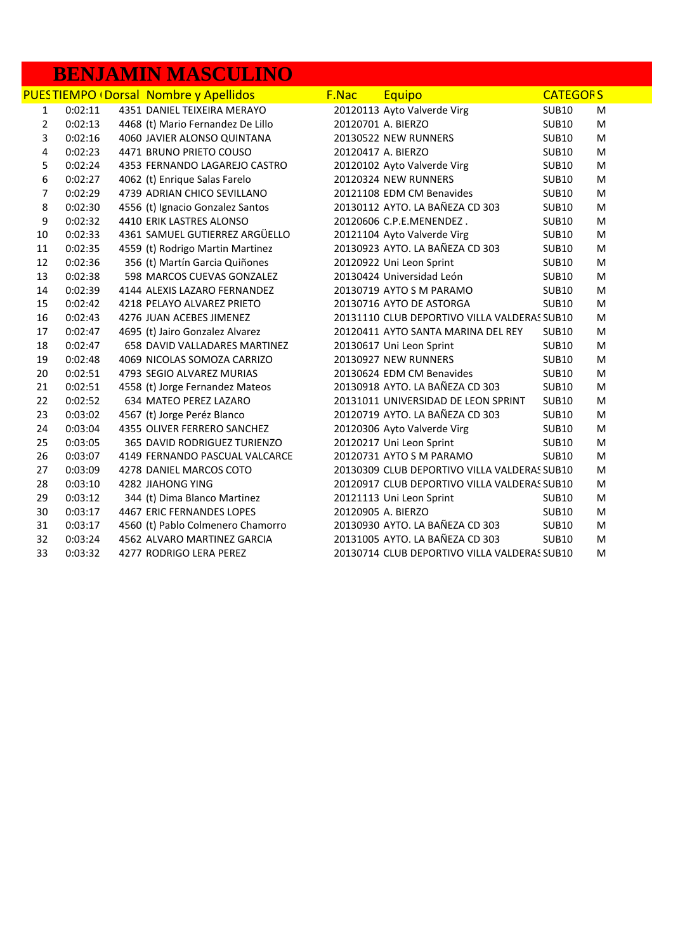## **BENJAMIN MASCULINO**

|                |         | <b>PUESTIEMPO (Dorsal Nombre y Apellidos</b> | <b>F.Nac</b> | Equipo                                       | <b>CATEGORS</b> |   |
|----------------|---------|----------------------------------------------|--------------|----------------------------------------------|-----------------|---|
| $\mathbf{1}$   | 0:02:11 | 4351 DANIEL TEIXEIRA MERAYO                  |              | 20120113 Ayto Valverde Virg                  | <b>SUB10</b>    | M |
| $\overline{2}$ | 0:02:13 | 4468 (t) Mario Fernandez De Lillo            |              | 20120701 A. BIERZO                           | <b>SUB10</b>    | M |
| 3              | 0:02:16 | 4060 JAVIER ALONSO QUINTANA                  |              | 20130522 NEW RUNNERS                         | <b>SUB10</b>    | M |
| 4              | 0:02:23 | 4471 BRUNO PRIETO COUSO                      |              | 20120417 A. BIERZO                           | <b>SUB10</b>    | M |
| 5              | 0:02:24 | 4353 FERNANDO LAGAREJO CASTRO                |              | 20120102 Ayto Valverde Virg                  | <b>SUB10</b>    | M |
| 6              | 0:02:27 | 4062 (t) Enrique Salas Farelo                |              | 20120324 NEW RUNNERS                         | <b>SUB10</b>    | M |
| $\overline{7}$ | 0:02:29 | 4739 ADRIAN CHICO SEVILLANO                  |              | 20121108 EDM CM Benavides                    | <b>SUB10</b>    | M |
| 8              | 0:02:30 | 4556 (t) Ignacio Gonzalez Santos             |              | 20130112 AYTO. LA BAÑEZA CD 303              | <b>SUB10</b>    | M |
| 9              | 0:02:32 | 4410 ERIK LASTRES ALONSO                     |              | 20120606 C.P.E.MENENDEZ.                     | <b>SUB10</b>    | M |
| 10             | 0:02:33 | 4361 SAMUEL GUTIERREZ ARGÜELLO               |              | 20121104 Ayto Valverde Virg                  | <b>SUB10</b>    | M |
| 11             | 0:02:35 | 4559 (t) Rodrigo Martin Martinez             |              | 20130923 AYTO. LA BAÑEZA CD 303              | <b>SUB10</b>    | M |
| 12             | 0:02:36 | 356 (t) Martín Garcia Quiñones               |              | 20120922 Uni Leon Sprint                     | <b>SUB10</b>    | M |
| 13             | 0:02:38 | 598 MARCOS CUEVAS GONZALEZ                   |              | 20130424 Universidad León                    | <b>SUB10</b>    | M |
| 14             | 0:02:39 | 4144 ALEXIS LAZARO FERNANDEZ                 |              | 20130719 AYTO S M PARAMO                     | <b>SUB10</b>    | M |
| 15             | 0:02:42 | 4218 PELAYO ALVAREZ PRIETO                   |              | 20130716 AYTO DE ASTORGA                     | <b>SUB10</b>    | M |
| 16             | 0:02:43 | 4276 JUAN ACEBES JIMENEZ                     |              | 20131110 CLUB DEPORTIVO VILLA VALDERAS SUB10 |                 | M |
| 17             | 0:02:47 | 4695 (t) Jairo Gonzalez Alvarez              |              | 20120411 AYTO SANTA MARINA DEL REY           | <b>SUB10</b>    | M |
| 18             | 0:02:47 | 658 DAVID VALLADARES MARTINEZ                |              | 20130617 Uni Leon Sprint                     | <b>SUB10</b>    | M |
| 19             | 0:02:48 | 4069 NICOLAS SOMOZA CARRIZO                  |              | 20130927 NEW RUNNERS                         | <b>SUB10</b>    | M |
| 20             | 0:02:51 | 4793 SEGIO ALVAREZ MURIAS                    |              | 20130624 EDM CM Benavides                    | <b>SUB10</b>    | M |
| 21             | 0:02:51 | 4558 (t) Jorge Fernandez Mateos              |              | 20130918 AYTO. LA BAÑEZA CD 303              | <b>SUB10</b>    | M |
| 22             | 0:02:52 | 634 MATEO PEREZ LAZARO                       |              | 20131011 UNIVERSIDAD DE LEON SPRINT          | <b>SUB10</b>    | M |
| 23             | 0:03:02 | 4567 (t) Jorge Peréz Blanco                  |              | 20120719 AYTO. LA BAÑEZA CD 303              | <b>SUB10</b>    | M |
| 24             | 0:03:04 | 4355 OLIVER FERRERO SANCHEZ                  |              | 20120306 Ayto Valverde Virg                  | <b>SUB10</b>    | M |
| 25             | 0:03:05 | 365 DAVID RODRIGUEZ TURIENZO                 |              | 20120217 Uni Leon Sprint                     | <b>SUB10</b>    | M |
| 26             | 0:03:07 | 4149 FERNANDO PASCUAL VALCARCE               |              | 20120731 AYTO S M PARAMO                     | <b>SUB10</b>    | M |
| 27             | 0:03:09 | 4278 DANIEL MARCOS COTO                      |              | 20130309 CLUB DEPORTIVO VILLA VALDERAS SUB10 |                 | M |
| 28             | 0:03:10 | <b>4282 JIAHONG YING</b>                     |              | 20120917 CLUB DEPORTIVO VILLA VALDERAS SUB10 |                 | M |
| 29             | 0:03:12 | 344 (t) Dima Blanco Martinez                 |              | 20121113 Uni Leon Sprint                     | <b>SUB10</b>    | M |
| 30             | 0:03:17 | 4467 ERIC FERNANDES LOPES                    |              | 20120905 A. BIERZO                           | <b>SUB10</b>    | M |
| 31             | 0:03:17 | 4560 (t) Pablo Colmenero Chamorro            |              | 20130930 AYTO. LA BAÑEZA CD 303              | <b>SUB10</b>    | M |
| 32             | 0:03:24 | 4562 ALVARO MARTINEZ GARCIA                  |              | 20131005 AYTO. LA BAÑEZA CD 303              | <b>SUB10</b>    | M |
| 33             | 0:03:32 | 4277 RODRIGO LERA PEREZ                      |              | 20130714 CLUB DEPORTIVO VILLA VALDERAS SUB10 |                 | M |
|                |         |                                              |              |                                              |                 |   |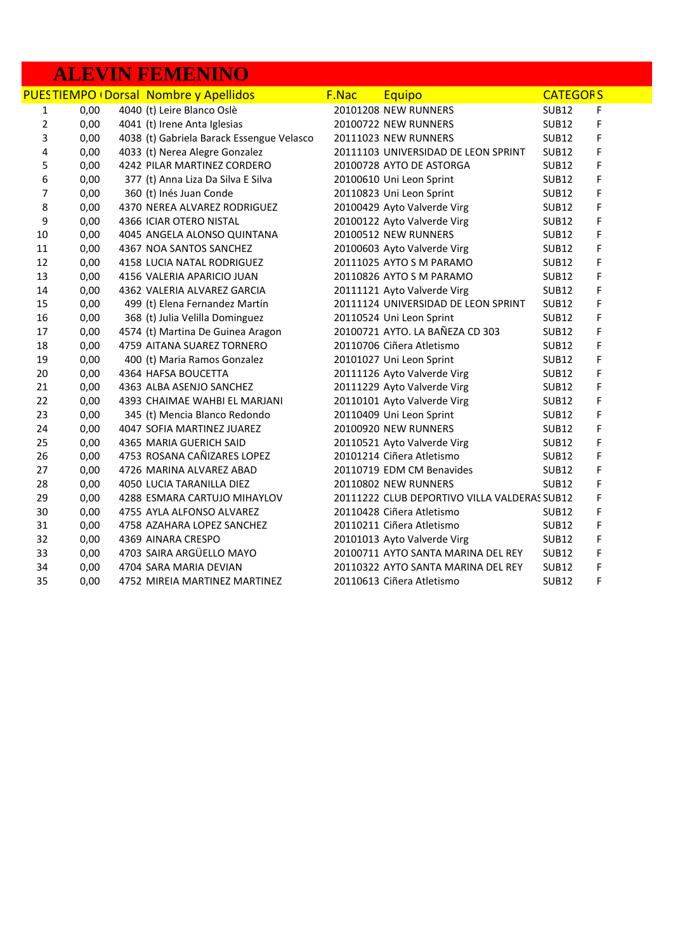### **ALEVIN FEMENINO**

|                |      | <b>PUESTIEMPO (Dorsal Nombre y Apellidos</b> | F.Nac | <b>Equipo</b>                                | <b>CATEGORS</b>   |   |  |
|----------------|------|----------------------------------------------|-------|----------------------------------------------|-------------------|---|--|
| 1              | 0,00 | 4040 (t) Leire Blanco Oslè                   |       | 20101208 NEW RUNNERS                         | <b>SUB12</b>      | F |  |
| $\overline{2}$ | 0,00 | 4041 (t) Irene Anta Iglesias                 |       | 20100722 NEW RUNNERS                         | <b>SUB12</b>      | F |  |
| 3              | 0,00 | 4038 (t) Gabriela Barack Essengue Velasco    |       | 20111023 NEW RUNNERS                         | <b>SUB12</b>      | F |  |
| 4              | 0,00 | 4033 (t) Nerea Alegre Gonzalez               |       | 20111103 UNIVERSIDAD DE LEON SPRINT          | <b>SUB12</b>      | F |  |
| 5              | 0,00 | 4242 PILAR MARTINEZ CORDERO                  |       | 20100728 AYTO DE ASTORGA                     | <b>SUB12</b>      | F |  |
| 6              | 0,00 | 377 (t) Anna Liza Da Silva E Silva           |       | 20100610 Uni Leon Sprint                     | <b>SUB12</b>      | F |  |
| 7              | 0,00 | 360 (t) Inés Juan Conde                      |       | 20110823 Uni Leon Sprint                     | <b>SUB12</b>      | F |  |
| 8              | 0,00 | 4370 NEREA ALVAREZ RODRIGUEZ                 |       | 20100429 Ayto Valverde Virg                  | <b>SUB12</b>      | F |  |
| 9              | 0,00 | 4366 ICIAR OTERO NISTAL                      |       | 20100122 Ayto Valverde Virg                  | <b>SUB12</b>      | F |  |
| 10             | 0,00 | 4045 ANGELA ALONSO QUINTANA                  |       | 20100512 NEW RUNNERS                         | <b>SUB12</b>      | F |  |
| 11             | 0,00 | 4367 NOA SANTOS SANCHEZ                      |       | 20100603 Ayto Valverde Virg                  | <b>SUB12</b>      | F |  |
| 12             | 0,00 | 4158 LUCIA NATAL RODRIGUEZ                   |       | 20111025 AYTO S M PARAMO                     | <b>SUB12</b>      | F |  |
| 13             | 0,00 | 4156 VALERIA APARICIO JUAN                   |       | 20110826 AYTO S M PARAMO                     | <b>SUB12</b>      | F |  |
| 14             | 0,00 | 4362 VALERIA ALVAREZ GARCIA                  |       | 20111121 Ayto Valverde Virg                  | <b>SUB12</b>      | F |  |
| 15             | 0,00 | 499 (t) Elena Fernandez Martín               |       | 20111124 UNIVERSIDAD DE LEON SPRINT          | <b>SUB12</b>      | F |  |
| 16             | 0,00 | 368 (t) Julia Velilla Dominguez              |       | 20110524 Uni Leon Sprint                     | <b>SUB12</b>      | F |  |
| 17             | 0,00 | 4574 (t) Martina De Guinea Aragon            |       | 20100721 AYTO. LA BAÑEZA CD 303              | <b>SUB12</b>      | F |  |
| 18             | 0,00 | 4759 AITANA SUAREZ TORNERO                   |       | 20110706 Ciñera Atletismo                    | <b>SUB12</b>      | F |  |
| 19             | 0,00 | 400 (t) Maria Ramos Gonzalez                 |       | 20101027 Uni Leon Sprint                     | <b>SUB12</b>      | F |  |
| 20             | 0,00 | 4364 HAFSA BOUCETTA                          |       | 20111126 Ayto Valverde Virg                  | <b>SUB12</b>      | F |  |
| 21             | 0,00 | 4363 ALBA ASENJO SANCHEZ                     |       | 20111229 Ayto Valverde Virg                  | <b>SUB12</b>      | F |  |
| 22             | 0,00 | 4393 CHAIMAE WAHBI EL MARJANI                |       | 20110101 Ayto Valverde Virg                  | <b>SUB12</b>      | F |  |
| 23             | 0,00 | 345 (t) Mencia Blanco Redondo                |       | 20110409 Uni Leon Sprint                     | <b>SUB12</b>      | F |  |
| 24             | 0,00 | 4047 SOFIA MARTINEZ JUAREZ                   |       | 20100920 NEW RUNNERS                         | <b>SUB12</b>      | F |  |
| 25             | 0,00 | 4365 MARIA GUERICH SAID                      |       | 20110521 Ayto Valverde Virg                  | <b>SUB12</b>      | F |  |
| 26             | 0,00 | 4753 ROSANA CAÑIZARES LOPEZ                  |       | 20101214 Ciñera Atletismo                    | <b>SUB12</b>      | F |  |
| 27             | 0,00 | 4726 MARINA ALVAREZ ABAD                     |       | 20110719 EDM CM Benavides                    | <b>SUB12</b>      | F |  |
| 28             | 0,00 | <b>4050 LUCIA TARANILLA DIEZ</b>             |       | 20110802 NEW RUNNERS                         | <b>SUB12</b>      | F |  |
| 29             | 0,00 | 4288 ESMARA CARTUJO MIHAYLOV                 |       | 20111222 CLUB DEPORTIVO VILLA VALDERAS SUB12 |                   | F |  |
| 30             | 0,00 | 4755 AYLA ALFONSO ALVAREZ                    |       | 20110428 Ciñera Atletismo                    | SUB <sub>12</sub> | F |  |
| 31             | 0,00 | 4758 AZAHARA LOPEZ SANCHEZ                   |       | 20110211 Ciñera Atletismo                    | <b>SUB12</b>      | F |  |
| 32             | 0,00 | 4369 AINARA CRESPO                           |       | 20101013 Ayto Valverde Virg                  | <b>SUB12</b>      | F |  |
| 33             | 0,00 | 4703 SAIRA ARGÜELLO MAYO                     |       | 20100711 AYTO SANTA MARINA DEL REY           | <b>SUB12</b>      | F |  |
| 34             | 0,00 | 4704 SARA MARIA DEVIAN                       |       | 20110322 AYTO SANTA MARINA DEL REY           | <b>SUB12</b>      | F |  |
| 35             | 0,00 | 4752 MIREIA MARTINEZ MARTINEZ                |       | 20110613 Ciñera Atletismo                    | <b>SUB12</b>      | F |  |
|                |      |                                              |       |                                              |                   |   |  |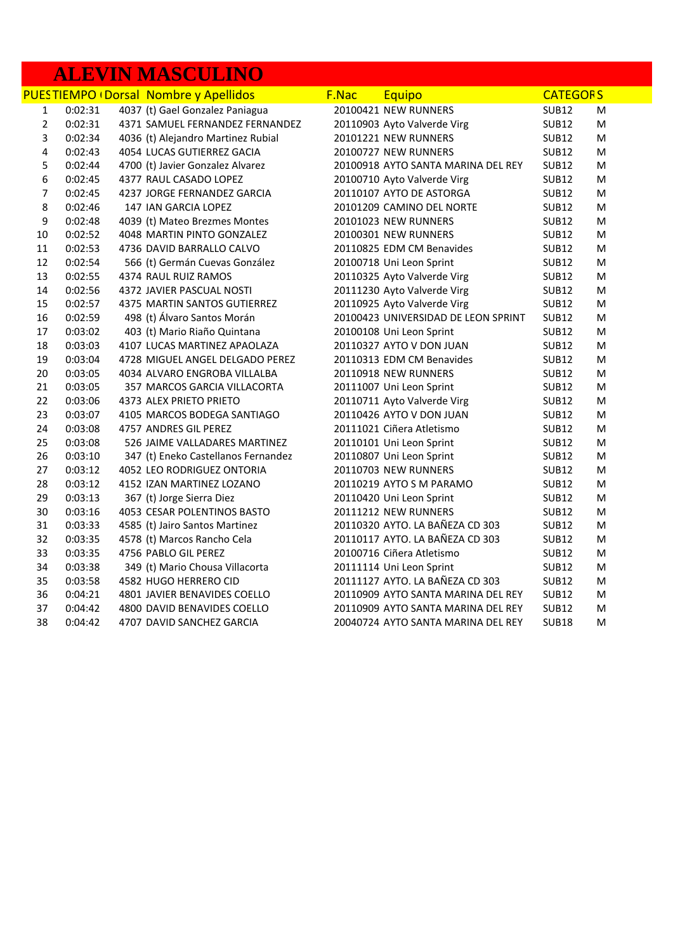# **ALEVIN MASCULINO**

|                         |         | <b>PUESTIEMPO (Dorsal Nombre y Apellidos</b> | F.Nac | <b>Equipo</b>                       | <b>CATEGORS</b> |   |
|-------------------------|---------|----------------------------------------------|-------|-------------------------------------|-----------------|---|
| $\mathbf{1}$            | 0:02:31 | 4037 (t) Gael Gonzalez Paniagua              |       | 20100421 NEW RUNNERS                | <b>SUB12</b>    | M |
| $\overline{2}$          | 0:02:31 | 4371 SAMUEL FERNANDEZ FERNANDEZ              |       | 20110903 Ayto Valverde Virg         | <b>SUB12</b>    | M |
| 3                       | 0:02:34 | 4036 (t) Alejandro Martinez Rubial           |       | 20101221 NEW RUNNERS                | <b>SUB12</b>    | M |
| $\overline{\mathbf{4}}$ | 0:02:43 | 4054 LUCAS GUTIERREZ GACIA                   |       | 20100727 NEW RUNNERS                | <b>SUB12</b>    | M |
| 5                       | 0:02:44 | 4700 (t) Javier Gonzalez Alvarez             |       | 20100918 AYTO SANTA MARINA DEL REY  | <b>SUB12</b>    | M |
| 6                       | 0:02:45 | 4377 RAUL CASADO LOPEZ                       |       | 20100710 Ayto Valverde Virg         | <b>SUB12</b>    | M |
| $\overline{7}$          | 0:02:45 | 4237 JORGE FERNANDEZ GARCIA                  |       | 20110107 AYTO DE ASTORGA            | <b>SUB12</b>    | M |
| 8                       | 0:02:46 | 147 IAN GARCIA LOPEZ                         |       | 20101209 CAMINO DEL NORTE           | <b>SUB12</b>    | M |
| 9                       | 0:02:48 | 4039 (t) Mateo Brezmes Montes                |       | 20101023 NEW RUNNERS                | <b>SUB12</b>    | M |
| 10                      | 0:02:52 | 4048 MARTIN PINTO GONZALEZ                   |       | 20100301 NEW RUNNERS                | <b>SUB12</b>    | M |
| 11                      | 0:02:53 | 4736 DAVID BARRALLO CALVO                    |       | 20110825 EDM CM Benavides           | <b>SUB12</b>    | M |
| 12                      | 0:02:54 | 566 (t) Germán Cuevas González               |       | 20100718 Uni Leon Sprint            | <b>SUB12</b>    | M |
| 13                      | 0:02:55 | 4374 RAUL RUIZ RAMOS                         |       | 20110325 Ayto Valverde Virg         | <b>SUB12</b>    | M |
| 14                      | 0:02:56 | 4372 JAVIER PASCUAL NOSTI                    |       | 20111230 Ayto Valverde Virg         | <b>SUB12</b>    | M |
| 15                      | 0:02:57 | 4375 MARTIN SANTOS GUTIERREZ                 |       | 20110925 Ayto Valverde Virg         | <b>SUB12</b>    | M |
| 16                      | 0:02:59 | 498 (t) Álvaro Santos Morán                  |       | 20100423 UNIVERSIDAD DE LEON SPRINT | <b>SUB12</b>    | M |
| 17                      | 0:03:02 | 403 (t) Mario Riaño Quintana                 |       | 20100108 Uni Leon Sprint            | <b>SUB12</b>    | M |
| 18                      | 0:03:03 | 4107 LUCAS MARTINEZ APAOLAZA                 |       | 20110327 AYTO V DON JUAN            | <b>SUB12</b>    | M |
| 19                      | 0:03:04 | 4728 MIGUEL ANGEL DELGADO PEREZ              |       | 20110313 EDM CM Benavides           | <b>SUB12</b>    | M |
| 20                      | 0:03:05 | 4034 ALVARO ENGROBA VILLALBA                 |       | 20110918 NEW RUNNERS                | <b>SUB12</b>    | M |
| 21                      | 0:03:05 | 357 MARCOS GARCIA VILLACORTA                 |       | 20111007 Uni Leon Sprint            | <b>SUB12</b>    | M |
| 22                      | 0:03:06 | 4373 ALEX PRIETO PRIETO                      |       | 20110711 Ayto Valverde Virg         | <b>SUB12</b>    | M |
| 23                      | 0:03:07 | 4105 MARCOS BODEGA SANTIAGO                  |       | 20110426 AYTO V DON JUAN            | <b>SUB12</b>    | M |
| 24                      | 0:03:08 | 4757 ANDRES GIL PEREZ                        |       | 20111021 Ciñera Atletismo           | <b>SUB12</b>    | M |
| 25                      | 0:03:08 | 526 JAIME VALLADARES MARTINEZ                |       | 20110101 Uni Leon Sprint            | <b>SUB12</b>    | M |
| 26                      | 0:03:10 | 347 (t) Eneko Castellanos Fernandez          |       | 20110807 Uni Leon Sprint            | <b>SUB12</b>    | M |
| 27                      | 0:03:12 | 4052 LEO RODRIGUEZ ONTORIA                   |       | 20110703 NEW RUNNERS                | <b>SUB12</b>    | M |
| 28                      | 0:03:12 | 4152 IZAN MARTINEZ LOZANO                    |       | 20110219 AYTO S M PARAMO            | <b>SUB12</b>    | M |
| 29                      | 0:03:13 | 367 (t) Jorge Sierra Diez                    |       | 20110420 Uni Leon Sprint            | <b>SUB12</b>    | M |
| 30                      | 0:03:16 | 4053 CESAR POLENTINOS BASTO                  |       | 20111212 NEW RUNNERS                | <b>SUB12</b>    | M |
| 31                      | 0:03:33 | 4585 (t) Jairo Santos Martinez               |       | 20110320 AYTO. LA BAÑEZA CD 303     | <b>SUB12</b>    | M |
| 32                      | 0:03:35 | 4578 (t) Marcos Rancho Cela                  |       | 20110117 AYTO. LA BAÑEZA CD 303     | <b>SUB12</b>    | M |
| 33                      | 0:03:35 | 4756 PABLO GIL PEREZ                         |       | 20100716 Ciñera Atletismo           | <b>SUB12</b>    | M |
| 34                      | 0:03:38 | 349 (t) Mario Chousa Villacorta              |       | 20111114 Uni Leon Sprint            | <b>SUB12</b>    | M |
| 35                      | 0:03:58 | 4582 HUGO HERRERO CID                        |       | 20111127 AYTO. LA BAÑEZA CD 303     | <b>SUB12</b>    | M |
| 36                      | 0:04:21 | 4801 JAVIER BENAVIDES COELLO                 |       | 20110909 AYTO SANTA MARINA DEL REY  | <b>SUB12</b>    | M |
| 37                      | 0:04:42 | 4800 DAVID BENAVIDES COELLO                  |       | 20110909 AYTO SANTA MARINA DEL REY  | <b>SUB12</b>    | M |
| 38                      | 0:04:42 | 4707 DAVID SANCHEZ GARCIA                    |       | 20040724 AYTO SANTA MARINA DEL REY  | <b>SUB18</b>    | M |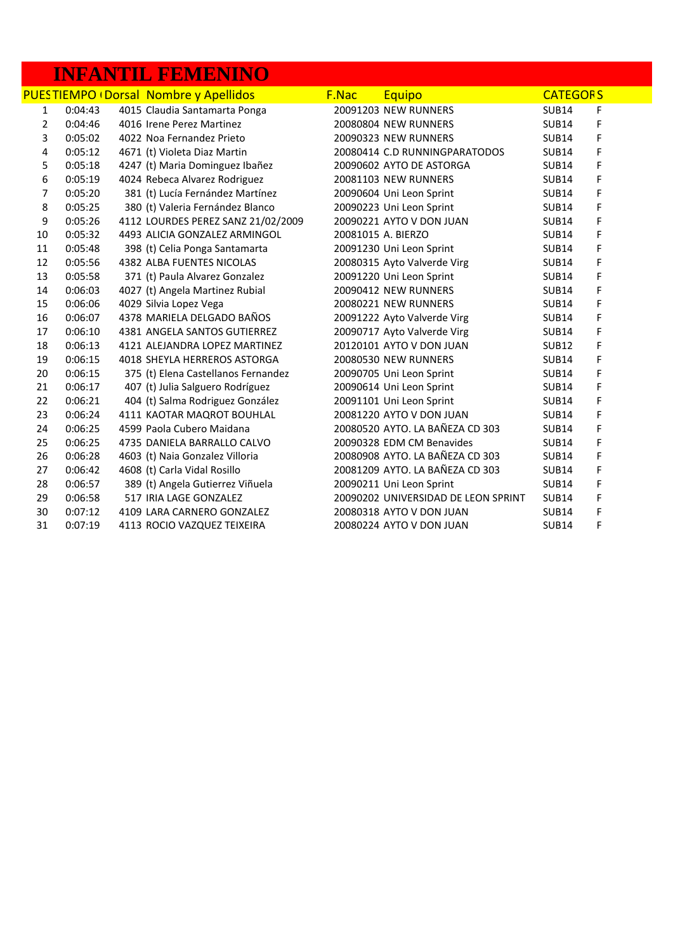### **INFANTIL FEMENINO**

|                |         | <b>PUES TIEMPO (Dorsal Nombre y Apellidos</b> | F.Nac | Equipo                              | <b>CATEGORS</b> |   |
|----------------|---------|-----------------------------------------------|-------|-------------------------------------|-----------------|---|
| 1              | 0:04:43 | 4015 Claudia Santamarta Ponga                 |       | 20091203 NEW RUNNERS                | <b>SUB14</b>    | F |
| $\overline{2}$ | 0:04:46 | 4016 Irene Perez Martinez                     |       | 20080804 NEW RUNNERS                | <b>SUB14</b>    | F |
| 3              | 0:05:02 | 4022 Noa Fernandez Prieto                     |       | 20090323 NEW RUNNERS                | <b>SUB14</b>    | F |
| 4              | 0:05:12 | 4671 (t) Violeta Diaz Martin                  |       | 20080414 C.D RUNNINGPARATODOS       | <b>SUB14</b>    | F |
| 5              | 0:05:18 | 4247 (t) Maria Dominguez Ibañez               |       | 20090602 AYTO DE ASTORGA            | <b>SUB14</b>    | F |
| 6              | 0:05:19 | 4024 Rebeca Alvarez Rodriguez                 |       | 20081103 NEW RUNNERS                | <b>SUB14</b>    | F |
| 7              | 0:05:20 | 381 (t) Lucía Fernández Martínez              |       | 20090604 Uni Leon Sprint            | <b>SUB14</b>    | F |
| 8              | 0:05:25 | 380 (t) Valeria Fernández Blanco              |       | 20090223 Uni Leon Sprint            | <b>SUB14</b>    | F |
| 9              | 0:05:26 | 4112 LOURDES PEREZ SANZ 21/02/2009            |       | 20090221 AYTO V DON JUAN            | <b>SUB14</b>    | F |
| 10             | 0:05:32 | 4493 ALICIA GONZALEZ ARMINGOL                 |       | 20081015 A. BIERZO                  | <b>SUB14</b>    | F |
| 11             | 0:05:48 | 398 (t) Celia Ponga Santamarta                |       | 20091230 Uni Leon Sprint            | <b>SUB14</b>    | F |
| 12             | 0:05:56 | 4382 ALBA FUENTES NICOLAS                     |       | 20080315 Ayto Valverde Virg         | <b>SUB14</b>    | F |
| 13             | 0:05:58 | 371 (t) Paula Alvarez Gonzalez                |       | 20091220 Uni Leon Sprint            | <b>SUB14</b>    | F |
| 14             | 0:06:03 | 4027 (t) Angela Martinez Rubial               |       | 20090412 NEW RUNNERS                | <b>SUB14</b>    | F |
| 15             | 0:06:06 | 4029 Silvia Lopez Vega                        |       | 20080221 NEW RUNNERS                | <b>SUB14</b>    | F |
| 16             | 0:06:07 | 4378 MARIELA DELGADO BAÑOS                    |       | 20091222 Ayto Valverde Virg         | <b>SUB14</b>    | F |
| 17             | 0:06:10 | 4381 ANGELA SANTOS GUTIERREZ                  |       | 20090717 Ayto Valverde Virg         | <b>SUB14</b>    | F |
| 18             | 0:06:13 | 4121 ALEJANDRA LOPEZ MARTINEZ                 |       | 20120101 AYTO V DON JUAN            | <b>SUB12</b>    | F |
| 19             | 0:06:15 | 4018 SHEYLA HERREROS ASTORGA                  |       | 20080530 NEW RUNNERS                | <b>SUB14</b>    | F |
| 20             | 0:06:15 | 375 (t) Elena Castellanos Fernandez           |       | 20090705 Uni Leon Sprint            | <b>SUB14</b>    | F |
| 21             | 0:06:17 | 407 (t) Julia Salguero Rodríguez              |       | 20090614 Uni Leon Sprint            | <b>SUB14</b>    | F |
| 22             | 0:06:21 | 404 (t) Salma Rodriguez González              |       | 20091101 Uni Leon Sprint            | <b>SUB14</b>    | F |
| 23             | 0:06:24 | 4111 KAOTAR MAQROT BOUHLAL                    |       | 20081220 AYTO V DON JUAN            | <b>SUB14</b>    | F |
| 24             | 0:06:25 | 4599 Paola Cubero Maidana                     |       | 20080520 AYTO. LA BAÑEZA CD 303     | <b>SUB14</b>    | F |
| 25             | 0:06:25 | 4735 DANIELA BARRALLO CALVO                   |       | 20090328 EDM CM Benavides           | <b>SUB14</b>    | F |
| 26             | 0:06:28 | 4603 (t) Naia Gonzalez Villoria               |       | 20080908 AYTO. LA BAÑEZA CD 303     | <b>SUB14</b>    | F |
| 27             | 0:06:42 | 4608 (t) Carla Vidal Rosillo                  |       | 20081209 AYTO. LA BAÑEZA CD 303     | <b>SUB14</b>    | F |
| 28             | 0:06:57 | 389 (t) Angela Gutierrez Viñuela              |       | 20090211 Uni Leon Sprint            | <b>SUB14</b>    | F |
| 29             | 0:06:58 | 517 IRIA LAGE GONZALEZ                        |       | 20090202 UNIVERSIDAD DE LEON SPRINT | <b>SUB14</b>    | F |
| 30             | 0:07:12 | 4109 LARA CARNERO GONZALEZ                    |       | 20080318 AYTO V DON JUAN            | <b>SUB14</b>    | F |
| 31             | 0:07:19 | 4113 ROCIO VAZQUEZ TEIXEIRA                   |       | 20080224 AYTO V DON JUAN            | <b>SUB14</b>    | F |
|                |         |                                               |       |                                     |                 |   |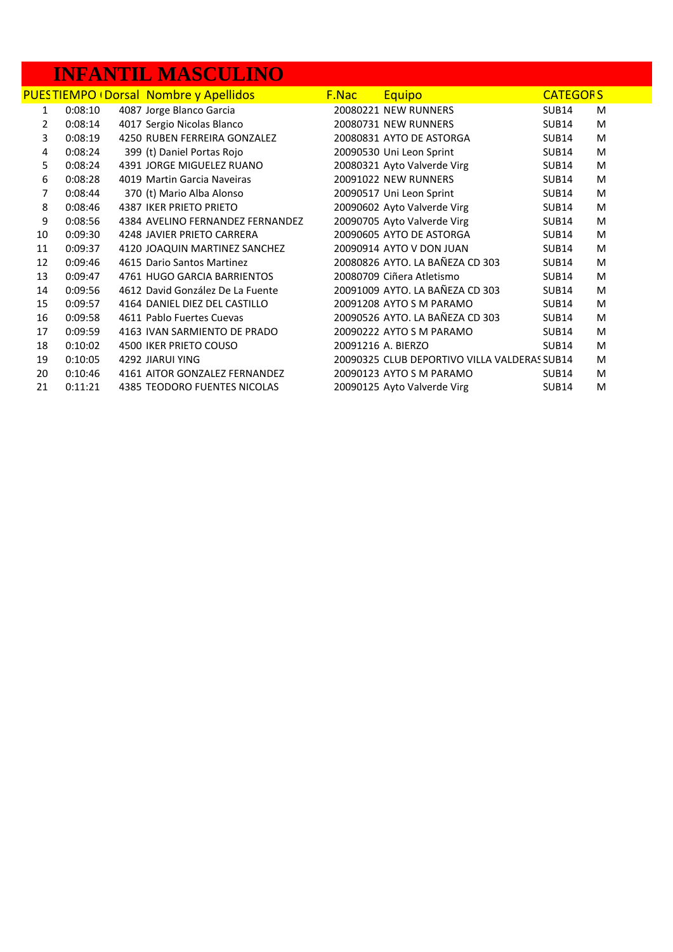## **INFANTIL MASCULINO**

|    |         | <b>PUESTIEMPO (Dorsal Nombre y Apellidos</b> | <u>F.Nac</u> | <b>Equipo</b>                                | <b>CATEGORS</b>   |   |
|----|---------|----------------------------------------------|--------------|----------------------------------------------|-------------------|---|
| 1  | 0:08:10 | 4087 Jorge Blanco Garcia                     |              | 20080221 NEW RUNNERS                         | <b>SUB14</b>      | M |
| 2  | 0:08:14 | 4017 Sergio Nicolas Blanco                   |              | 20080731 NEW RUNNERS                         | SUB <sub>14</sub> | M |
| 3  | 0:08:19 | 4250 RUBEN FERREIRA GONZALEZ                 |              | 20080831 AYTO DE ASTORGA                     | <b>SUB14</b>      | M |
| 4  | 0:08:24 | 399 (t) Daniel Portas Rojo                   |              | 20090530 Uni Leon Sprint                     | <b>SUB14</b>      | M |
| 5  | 0:08:24 | 4391 JORGE MIGUELEZ RUANO                    |              | 20080321 Ayto Valverde Virg                  | <b>SUB14</b>      | M |
| 6  | 0:08:28 | 4019 Martin Garcia Naveiras                  |              | 20091022 NEW RUNNERS                         | <b>SUB14</b>      | M |
| 7  | 0:08:44 | 370 (t) Mario Alba Alonso                    |              | 20090517 Uni Leon Sprint                     | <b>SUB14</b>      | M |
| 8  | 0:08:46 | <b>4387 IKER PRIETO PRIETO</b>               |              | 20090602 Ayto Valverde Virg                  | <b>SUB14</b>      | M |
| 9  | 0:08:56 | 4384 AVELINO FERNANDEZ FERNANDEZ             |              | 20090705 Ayto Valverde Virg                  | <b>SUB14</b>      | M |
| 10 | 0:09:30 | 4248 JAVIER PRIETO CARRERA                   |              | 20090605 AYTO DE ASTORGA                     | <b>SUB14</b>      | M |
| 11 | 0:09:37 | 4120 JOAQUIN MARTINEZ SANCHEZ                |              | 20090914 AYTO V DON JUAN                     | <b>SUB14</b>      | M |
| 12 | 0:09:46 | 4615 Dario Santos Martinez                   |              | 20080826 AYTO. LA BAÑEZA CD 303              | <b>SUB14</b>      | M |
| 13 | 0:09:47 | 4761 HUGO GARCIA BARRIENTOS                  |              | 20080709 Ciñera Atletismo                    | <b>SUB14</b>      | M |
| 14 | 0:09:56 | 4612 David González De La Fuente             |              | 20091009 AYTO. LA BAÑEZA CD 303              | <b>SUB14</b>      | M |
| 15 | 0:09:57 | 4164 DANIEL DIEZ DEL CASTILLO                |              | 20091208 AYTO S M PARAMO                     | <b>SUB14</b>      | M |
| 16 | 0:09:58 | 4611 Pablo Fuertes Cuevas                    |              | 20090526 AYTO. LA BAÑEZA CD 303              | <b>SUB14</b>      | M |
| 17 | 0:09:59 | 4163 IVAN SARMIENTO DE PRADO                 |              | 20090222 AYTO S M PARAMO                     | <b>SUB14</b>      | M |
| 18 | 0:10:02 | 4500 IKER PRIETO COUSO                       |              | 20091216 A. BIERZO                           | <b>SUB14</b>      | M |
| 19 | 0:10:05 | 4292 JIARUI YING                             |              | 20090325 CLUB DEPORTIVO VILLA VALDERAS SUB14 |                   | M |
| 20 | 0:10:46 | 4161 AITOR GONZALEZ FERNANDEZ                |              | 20090123 AYTO S M PARAMO                     | <b>SUB14</b>      | M |
| 21 | 0:11:21 | <b>4385 TEODORO FUENTES NICOLAS</b>          |              | 20090125 Ayto Valverde Virg                  | <b>SUB14</b>      | м |
|    |         |                                              |              |                                              |                   |   |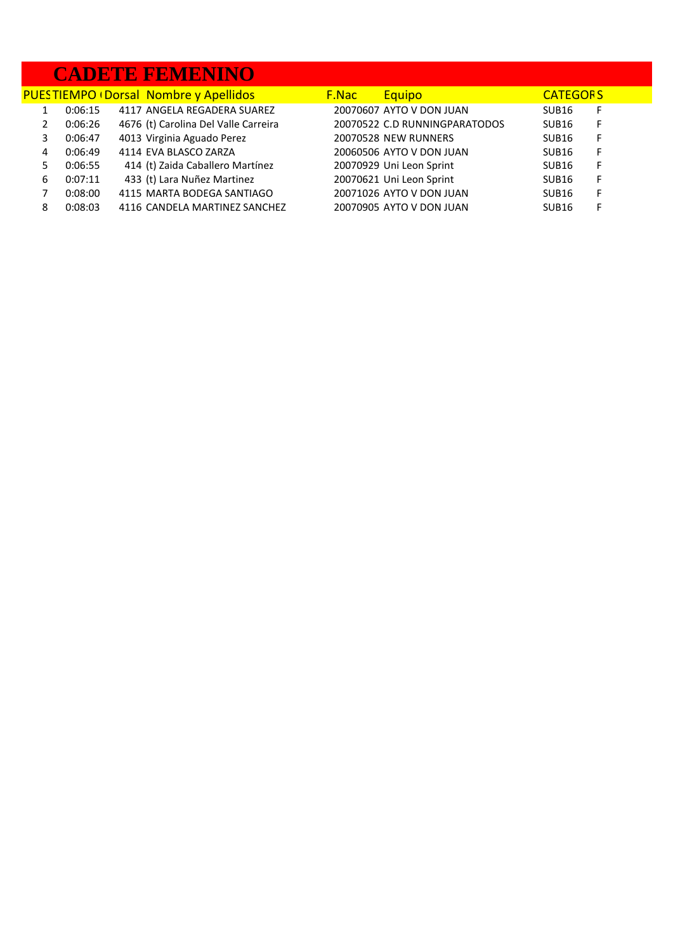#### **CADETE FEMENINO**

|   |         | <b>PUESTIEMPO (Dorsal Nombre y Apellidos)</b> | <b>F.Nac</b> | Equipo                        | <b>CATEGORS</b>   |    |
|---|---------|-----------------------------------------------|--------------|-------------------------------|-------------------|----|
|   | 0:06:15 | 4117 ANGELA REGADERA SUAREZ                   |              | 20070607 AYTO V DON JUAN      | SUB <sub>16</sub> | F  |
|   | 0:06:26 | 4676 (t) Carolina Del Valle Carreira          |              | 20070522 C.D RUNNINGPARATODOS | SUB <sub>16</sub> | -F |
| 3 | 0:06:47 | 4013 Virginia Aguado Perez                    |              | 20070528 NEW RUNNERS          | SUB <sub>16</sub> | F  |
| 4 | 0:06:49 | 4114 EVA BLASCO ZARZA                         |              | 20060506 AYTO V DON JUAN      | SUB <sub>16</sub> | F  |
|   | 0:06:55 | 414 (t) Zaida Caballero Martínez              |              | 20070929 Uni Leon Sprint      | SUB <sub>16</sub> | F  |
| 6 | 0:07:11 | 433 (t) Lara Nuñez Martinez                   |              | 20070621 Uni Leon Sprint      | SUB <sub>16</sub> | F  |
|   | 0:08:00 | 4115 MARTA BODEGA SANTIAGO                    |              | 20071026 AYTO V DON JUAN      | SUB <sub>16</sub> | F  |
| 8 | 0:08:03 | 4116 CANDELA MARTINEZ SANCHEZ                 |              | 20070905 AYTO V DON JUAN      | SUB <sub>16</sub> | F  |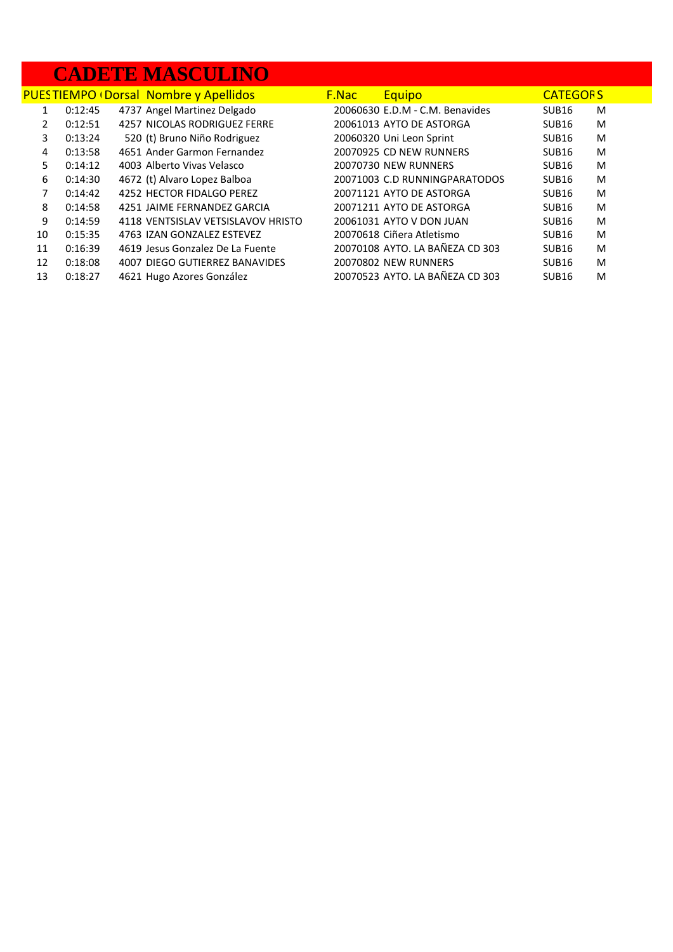## **CADETE MASCULINO**

|               |         | <b>PUESTIEMPO (Dorsal Nombre y Apellidos)</b> | <b>F.Nac</b> | <b>Equipo</b>                   | <b>CATEGORS</b>   |   |
|---------------|---------|-----------------------------------------------|--------------|---------------------------------|-------------------|---|
|               | 0:12:45 | 4737 Angel Martinez Delgado                   |              | 20060630 E.D.M - C.M. Benavides | SUB <sub>16</sub> | M |
| $\mathcal{P}$ | 0:12:51 | 4257 NICOLAS RODRIGUEZ FERRE                  |              | 20061013 AYTO DE ASTORGA        | SUB <sub>16</sub> | M |
| 3             | 0:13:24 | 520 (t) Bruno Niño Rodriguez                  |              | 20060320 Uni Leon Sprint        | SUB <sub>16</sub> | M |
| 4             | 0:13:58 | 4651 Ander Garmon Fernandez                   |              | 20070925 CD NEW RUNNERS         | SUB <sub>16</sub> | M |
| 5.            | 0:14:12 | 4003 Alberto Vivas Velasco                    |              | 20070730 NEW RUNNERS            | SUB <sub>16</sub> | M |
| 6             | 0:14:30 | 4672 (t) Alvaro Lopez Balboa                  |              | 20071003 C.D RUNNINGPARATODOS   | SUB <sub>16</sub> | M |
| 7             | 0:14:42 | 4252 HECTOR FIDALGO PEREZ                     |              | 20071121 AYTO DE ASTORGA        | SUB <sub>16</sub> | M |
| 8             | 0:14:58 | 4251 JAIME FERNANDEZ GARCIA                   |              | 20071211 AYTO DE ASTORGA        | SUB <sub>16</sub> | M |
| 9             | 0:14:59 | 4118 VENTSISLAV VETSISLAVOV HRISTO            |              | 20061031 AYTO V DON JUAN        | SUB <sub>16</sub> | M |
| 10            | 0:15:35 | 4763 IZAN GONZALEZ ESTEVEZ                    |              | 20070618 Ciñera Atletismo       | SUB <sub>16</sub> | M |
| 11            | 0:16:39 | 4619 Jesus Gonzalez De La Fuente              |              | 20070108 AYTO. LA BAÑEZA CD 303 | SUB <sub>16</sub> | M |
| 12            | 0:18:08 | 4007 DIEGO GUTIERREZ BANAVIDES                |              | 20070802 NEW RUNNERS            | SUB <sub>16</sub> | M |
| 13            | 0:18:27 | 4621 Hugo Azores González                     |              | 20070523 AYTO. LA BAÑEZA CD 303 | SUB <sub>16</sub> | M |